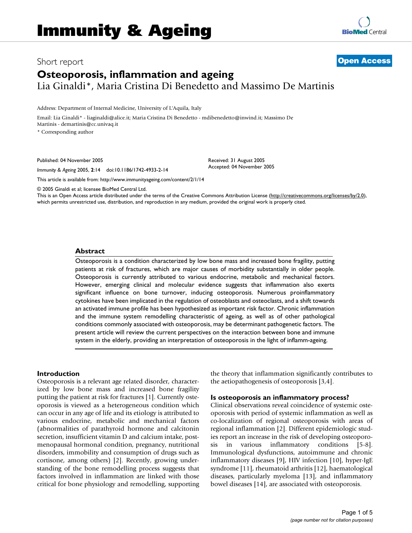# Short report **[Open Access](http://www.biomedcentral.com/info/about/charter/) Osteoporosis, inflammation and ageing** Lia Ginaldi\*, Maria Cristina Di Benedetto and Massimo De Martinis

Address: Department of Internal Medicine, University of L'Aquila, Italy

Email: Lia Ginaldi\* - liaginaldi@alice.it; Maria Cristina Di Benedetto - mdibenedetto@inwind.it; Massimo De Martinis - demartinis@cc.univaq.it

\* Corresponding author

Published: 04 November 2005

*Immunity & Ageing* 2005, **2**:14 doi:10.1186/1742-4933-2-14

[This article is available from: http://www.immunityageing.com/content/2/1/14](http://www.immunityageing.com/content/2/1/14)

© 2005 Ginaldi et al; licensee BioMed Central Ltd.

This is an Open Access article distributed under the terms of the Creative Commons Attribution License [\(http://creativecommons.org/licenses/by/2.0\)](http://creativecommons.org/licenses/by/2.0), which permits unrestricted use, distribution, and reproduction in any medium, provided the original work is properly cited.

Received: 31 August 2005 Accepted: 04 November 2005

### **Abstract**

Osteoporosis is a condition characterized by low bone mass and increased bone fragility, putting patients at risk of fractures, which are major causes of morbidity substantially in older people. Osteoporosis is currently attributed to various endocrine, metabolic and mechanical factors. However, emerging clinical and molecular evidence suggests that inflammation also exerts significant influence on bone turnover, inducing osteoporosis. Numerous proinflammatory cytokines have been implicated in the regulation of osteoblasts and osteoclasts, and a shift towards an activated immune profile has been hypothesized as important risk factor. Chronic inflammation and the immune system remodelling characteristic of ageing, as well as of other pathological conditions commonly associated with osteoporosis, may be determinant pathogenetic factors. The present article will review the current perspectives on the interaction between bone and immune system in the elderly, providing an interpretation of osteoporosis in the light of inflamm-ageing.

# **Introduction**

Osteoporosis is a relevant age related disorder, characterized by low bone mass and increased bone fragility putting the patient at risk for fractures [1]. Currently osteoporosis is viewed as a heterogeneous condition which can occur in any age of life and its etiology is attributed to various endocrine, metabolic and mechanical factors (abnormalities of parathyroid hormone and calcitonin secretion, insufficient vitamin D and calcium intake, postmenopausal hormonal condition, pregnancy, nutritional disorders, immobility and consumption of drugs such as cortisone, among others) [2]. Recently, growing understanding of the bone remodelling process suggests that factors involved in inflammation are linked with those critical for bone physiology and remodelling, supporting the theory that inflammation significantly contributes to the aetiopathogenesis of osteoporosis [3,4].

#### **Is osteoporosis an inflammatory process?**

Clinical observations reveal coincidence of systemic osteoporosis with period of systemic inflammation as well as co-localization of regional osteoporosis with areas of regional inflammation [2]. Different epidemiologic studies report an increase in the risk of developing osteoporosis in various inflammatory conditions [5-8]. Immunological dysfunctions, autoimmune and chronic inflammatory diseases [9], HIV infection [10], hyper-IgE syndrome [11], rheumatoid arthritis [12], haematological diseases, particularly myeloma [13], and inflammatory bowel diseases [14], are associated with osteoporosis.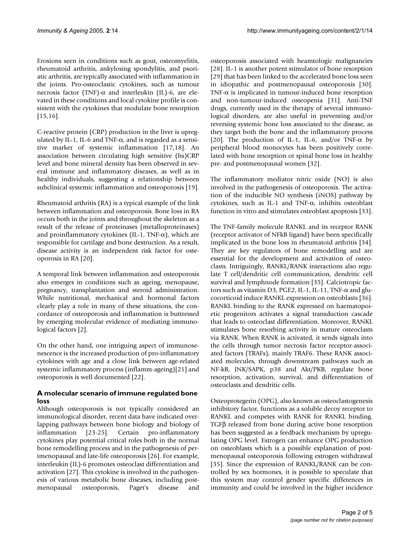Erosions seen in conditions such as gout, osteomyelitis, rheumatoid arthritis, ankylosing spondylitis, and psoriatic arthritis, are typically associated with inflammation in the joints. Pro-osteoclastic cytokines, such as tumour necrosis factor (TNF)-α and interleukin (IL)-6, are elevated in these conditions and local cytokine profile is consistent with the cytokines that modulate bone resorption [15,16].

C-reactive protein (CRP) production in the liver is upregulated by IL-1, IL-6 and TNF- $\alpha$ , and is regarded as a sensitive marker of systemic inflammation [17,18]. An association between circulating high sensitive (hs)CRP level and bone mineral density has been observed in several immune and inflammatory diseases, as well as in healthy individuals, suggesting a relationship between subclinical systemic inflammation and osteoporosis [19].

Rheumatoid arthritis (RA) is a typical example of the link between inflammation and osteoporosis. Bone loss in RA occurs both in the joints and throughout the skeleton as a result of the release of proteinases (metalloproteinases) and proinflammatory cytokines (IL-1, TNF- $\alpha$ ), which are responsible for cartilage and bone destruction. As a result, disease activity is an independent risk factor for osteoporosis in RA [20].

A temporal link between inflammation and osteoporosis also emerges in conditions such as ageing, menopause, pregnancy, transplantation and steroid administration. While nutritional, mechanical and hormonal factors clearly play a role in many of these situations, the concordance of osteoporosis and inflammation is buttressed by emerging molecular evidence of mediating immunological factors [2].

On the other hand, one intriguing aspect of immunosenescence is the increased production of pro-inflammatory cytokines with age and a close link between age-related systemic inflammatory process (inflamm-ageing)[21] and osteoporosis is well documented [22].

# **A molecular scenario of immune regulated bone loss**

Although osteoporosis is not typically considered an immunological disorder, recent data have indicated overlapping pathways between bone biology and biology of inflammation [23-25]. Certain pro-inflammatory cytokines play potential critical roles both in the normal bone remodelling process and in the pathogenesis of perimenopausal and late-life osteoporosis [26]. For example, interleukin (IL)-6 promotes osteoclast differentiation and activation [27]. This cytokine is involved in the pathogenesis of various metabolic bone diseases, including postmenopausal osteoporosis, Paget's disease and osteoporosis associated with heamtologic malignancies [28]. IL-1 is another potent stimulator of bone resorption [29] that has been linked to the accelerated bone loss seen in idiopathic and postmenopausal osteoporosis [30]. TNF- $\alpha$  is implicated in tumour-induced bone resorption and non-tumour-induced osteopenia [31]. Anti-TNF drugs, currently used in the therapy of several immunological disorders, are also useful in preventing and/or reversing systemic bone loss associated to the disease, as they target both the bone and the inflammatory process [20]. The production of IL-1, IL-6, and/or TNF- $\alpha$  by peripheral blood monocytes has been positively correlated with bone resorption or spinal bone loss in healthy pre- and postmenopausal women [32].

The inflammatory mediator nitric oxide (NO) is also involved in the pathogenesis of osteoporosis. The activation of the inducible NO synthesis (iNOS) pathway by cytokines, such as IL-1 and TNF-α, inhibits osteoblast function in vitro and stimulates osteoblast apoptosis [33].

The TNF-family molecule RANKL and its receptor RANK (receptor activator of NFkB ligand) have been specifically implicated in the bone loss in rheumatoid arthritis [34]. They are key regulators of bone remodelling and are essential for the development and activation of osteoclasts. Intriguingly, RANKL/RANK interactions also regulate T cell/dendritic cell communication, dendritic cell survival and lymphnode formation [35]. Calciotropic factors such as vitamin D3, PGE2, IL-1, IL-11, TNF-α and glucocorticoid induce RANKL expression on osteoblasts [36]. RANKL binding to the RANK expressed on haematopoietic progenitors activates a signal transduction cascade that leads to osteoclast differentiation. Moreover, RANKL stimulates bone resorbing activity in mature osteoclasts via RANK. When RANK is activated, it sends signals into the cells through tumor necrosis factor receptor-associated factors (TRAFs), mainly TRAF6. These RANK associated molecules, through downstream pathways such as NF-kB, JNK/SAPK, p38 and Akt/PKB, regulate bone resorption, activation, survival, and differentiation of osteoclasts and dendritic cells.

Osteoprotegerin (OPG), also known as osteoclastogenesis inhibitory factor, functions as a soluble decoy receptor to RANKL and competes with RANK for RANKL binding. TGFβ released from bone during active bone resorption has been suggested as a feedback mechanism by upregulating OPG level. Estrogen can enhance OPG production on osteoblasts which is a possible explanation of postmenopausal osteoporosis following estrogen withdrawal [35]. Since the expression of RANKL/RANK can be controlled by sex hormones, it is possible to speculate that this system may control gender specific differences in immunity and could be involved in the higher incidence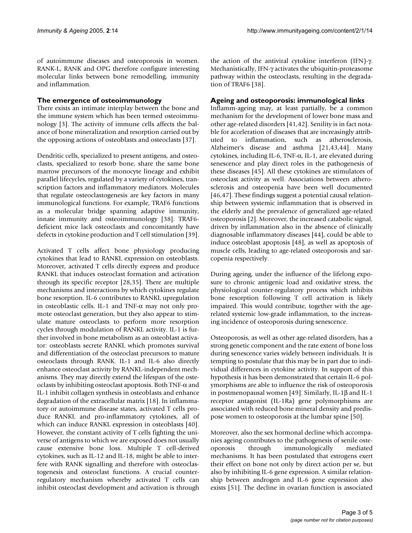of autoimmune diseases and osteoporosis in women. RANK-L, RANK and OPG therefore configure interesting molecular links between bone remodelling, immunity and inflammation.

# **The emergence of osteoimmunology**

There exists an intimate interplay between the bone and the immune system which has been termed osteoimmunology [3]. The activity of immune cells affects the balance of bone mineralization and resorption carried out by the opposing actions of osteoblasts and osteoclasts [37].

Dendritic cells, specialized to present antigens, and osteoclasts, specialized to resorb bone, share the same bone marrow precursors of the monocyte lineage and exhibit parallel lifecycles, regulated by a variety of cytokines, transcription factors and inflammatory mediators. Molecules that regulate osteoclastogenesis are key factors in many immunological functions. For example, TRAF6 functions as a molecular bridge spanning adaptive immunity, innate immunity and osteoimmunology [38]. TRAF6 deficient mice lack osteoclasts and concomitantly have defects in cytokine production and T cell stimulation [39].

Activated T cells affect bone physiology producing cytokines that lead to RANKL expression on osteoblasts. Moreover, activated T cells directly express and produce RANKL that induces osteoclast formation and activation through its specific receptor [28,35]. There are multiple mechanisms and interactions by which cytokines regulate bone resorption. IL-6 contributes to RANKL upregulation in osteoblastic cells. IL-1 and TNF-α may not only promote osteoclast generation, but they also appear to stimulate mature osteoclasts to perform more resorption cycles through modulation of RANKL activity. IL-1 is further involved in bone metabolism as an osteoblast activator: osteoblasts secrete RANKL which promotes survival and differentiation of the osteoclast precursors to mature osteoclasts through RANK. IL-1 and IL-6 also directly enhance osteoclast activity by RANKL-independent mechanisms. They may directly extend the lifespan of the osteoclasts by inhibiting osteoclast apoptosis. Both TNF-α and IL-1 inhibit collagen synthesis in osteoblasts and enhance degradation of the extracellular matrix [18]. In inflammatory or autoimmune disease states, activated T cells produce RANKL and pro-inflammatory cytokines, all of which can induce RANKL expression in osteoblasts [40]. However, the constant activity of T cells fighting the universe of antigens to which we are exposed does not usually cause extensive bone loss. Multiple T cell-derived cytokines, such as IL-12 and IL-18, might be able to interfere with RANK signalling and therefore with osteoclastogenesis and osteoclast functions. A crucial counterregulatory mechanism whereby activated T cells can inhibit osteoclast development and activation is through

the action of the antiviral cytokine interferon (IFN)-γ. Mechanistically, IFN-γ activates the ubiquitin-proteasome pathway within the osteoclasts, resulting in the degradation of TRAF6 [38].

# **Ageing and osteoporosis: immunological links**

Inflamm-ageing may, at least partially, be a common mechanism for the development of lower bone mass and other age-related disorders [41,42]. Senility is in fact notable for acceleration of diseases that are increasingly attributed to inflammation, such as atherosclerosis, Alzheimer's disease and asthma [21,43,44]. Many cytokines, including IL-6, TNF-α, IL-1, are elevated during senescence and play direct roles in the pathogenesis of these diseases [45]. All these cytokines are stimulators of osteoclast activity as well. Associations between atherosclerosis and osteopenia have been well documented [46,47]. These findings suggest a potential causal relationship between systemic inflammation that is observed in the elderly and the prevalence of generalized age-related osteoporosis [2]. Moreover, the increased catabolic signal, driven by inflammation also in the absence of clinically diagnosable inflammatory diseases [44], could be able to induce osteoblast apoptosis [48], as well as apoptosis of muscle cells, leading to age-related osteoporosis and sarcopenia respectively.

During ageing, under the influence of the lifelong exposure to chronic antigenic load and oxidative stress, the physiological counter-regulatory process which inhibits bone resorption following T cell activation is likely impaired. This would contribute, together with the agerelated systemic low-grade inflammation, to the increasing incidence of osteoporosis during senescence.

Osteoporosis, as well as other age-related disorders, has a strong genetic component and the rate extent of bone loss during senescence varies widely between individuals. It is tempting to postulate that this may be in part due to individual differences in cytokine activity. In support of this hypothesis it has been demonstrated that certain IL-6 polymorphisms are able to influence the risk of osteoporosis in postmenopausal women [49]. Similarly, IL-1β and IL-1 receptor antagonist (IL-1Ra) gene polymorphisms are associated with reduced bone mineral density and predispose women to osteoporosis at the lumbar spine [50].

Moreover, also the sex hormonal decline which accompanies ageing contributes to the pathogenesis of senile osteoporosis through immunologically mediated mechanisms. It has been postulated that estrogens exert their effect on bone not only by direct action per se, but also by inhibiting IL-6 gene expression. A similar relationship between androgen and IL-6 gene expression also exists [51]. The decline in ovarian function is associated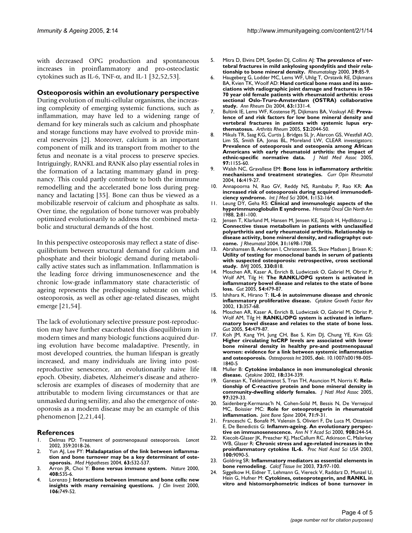with decreased OPG production and spontaneous increases in proinflammatory and pro-osteoclastic cytokines such as IL-6, TNF- $\alpha$ , and IL-1 [32,52,53].

## **Osteoporosis within an evolutionary perspective**

During evolution of multi-cellular organisms, the increasing complexity of emerging systemic functions, such as inflammation, may have led to a widening range of demand for key minerals such as calcium and phosphate and storage functions may have evolved to provide mineral reservoirs [2]. Moreover, calcium is an important component of milk and its transport from mother to the fetus and neonate is a vital process to preserve species. Intriguingly, RANKL and RANK also play essential roles in the formation of a lactating mammary gland in pregnancy. This could partly contribute to both the immune remodelling and the accelerated bone loss during pregnancy and lactating [35]. Bone can thus be viewed as a mobilizable reservoir of calcium and phosphate as salts. Over time, the regulation of bone turnover was probably optimized evolutionarily to address the combined metabolic and structural demands of the host.

In this perspective osteoporosis may reflect a state of disequilibrium between structural demand for calcium and phosphate and their biologic demand during metabolically active states such as inflammation. Inflammation is the leading force driving immunosenescence and the chronic low-grade inflammatory state characteristic of ageing represents the predisposing substrate on which osteoporosis, as well as other age-related diseases, might emerge [21,54].

The lack of evolutionary selective pressure post-reproduction may have further exacerbated this disequilibrium in modern times and many biologic functions acquired during evolution have become maladaptive. Presently, in most developed countries, the human lifespan is greatly increased, and many individuals are living into postreproductive senescence, an evolutionarily naive life epoch. Obesity, diabetes, Alzheimer's disease and atherosclerosis are examples of diseases of modernity that are attributable to modern living circumstances or that are unmasked during senility, and also the emergence of osteoporosis as a modern disease may be an example of this phenomenon [2,21,44].

### **References**

- 1. Delmas PD: [Treatment of postmenopausal osteoporosis.](http://www.ncbi.nlm.nih.gov/entrez/query.fcgi?cmd=Retrieve&db=PubMed&dopt=Abstract&list_uids=12076571) *Lancet* 2002, 359:2018-26.
- 2. Yun AJ, Lee PY: **[Maladaptation of the link between inflamma](http://www.ncbi.nlm.nih.gov/entrez/query.fcgi?cmd=Retrieve&db=PubMed&dopt=Abstract&list_uids=15288383)[tion and bone turnover may be a key determinant of oste](http://www.ncbi.nlm.nih.gov/entrez/query.fcgi?cmd=Retrieve&db=PubMed&dopt=Abstract&list_uids=15288383)[oporosis.](http://www.ncbi.nlm.nih.gov/entrez/query.fcgi?cmd=Retrieve&db=PubMed&dopt=Abstract&list_uids=15288383)** *Med Hypotheses* 2004, **63:**532-537.
- 3. Arron JR, Choi Y: **[Bone versus immune system.](http://www.ncbi.nlm.nih.gov/entrez/query.fcgi?cmd=Retrieve&db=PubMed&dopt=Abstract&list_uids=11117729)** *Nature* 2000, **408:**535-6.
- 4. Lorenzo J: **[Interactions between immune and bone cells: new](http://www.ncbi.nlm.nih.gov/entrez/query.fcgi?cmd=Retrieve&db=PubMed&dopt=Abstract&list_uids=10995785) [insights with many remaining questions.](http://www.ncbi.nlm.nih.gov/entrez/query.fcgi?cmd=Retrieve&db=PubMed&dopt=Abstract&list_uids=10995785)** *J Clin Invest* 2000, **106:**749-52.
- 5. Mitra D, Elvins DM, Speden DJ, Collins AJ: **[The prevalence of ver](http://www.ncbi.nlm.nih.gov/entrez/query.fcgi?cmd=Retrieve&db=PubMed&dopt=Abstract&list_uids=10662879)[tebral fractures in mild ankylosing spondylitis and their rela](http://www.ncbi.nlm.nih.gov/entrez/query.fcgi?cmd=Retrieve&db=PubMed&dopt=Abstract&list_uids=10662879)[tionship to bone mineral density.](http://www.ncbi.nlm.nih.gov/entrez/query.fcgi?cmd=Retrieve&db=PubMed&dopt=Abstract&list_uids=10662879)** *Rheumatology* 2000, **39:**85-9.
- 6. Haugeberg G, Lodder MC, Lems WF, Uhlig T, Orstavik RE, Dijkmans BA, Kvien TK, Woolf AD: **[Hand cortical bone mass and its asso](http://www.ncbi.nlm.nih.gov/entrez/query.fcgi?cmd=Retrieve&db=PubMed&dopt=Abstract&list_uids=15361395)ciations with radiographic joint damage and fractures in 50– [70 year old female patients with rheumatoid arthritis: cross](http://www.ncbi.nlm.nih.gov/entrez/query.fcgi?cmd=Retrieve&db=PubMed&dopt=Abstract&list_uids=15361395) sectional Oslo-Truro-Amsterdam (OSTRA) collaborative [study.](http://www.ncbi.nlm.nih.gov/entrez/query.fcgi?cmd=Retrieve&db=PubMed&dopt=Abstract&list_uids=15361395)** *Ann Rheum Dis* 2004, **63:**1331-4.
- 7. Bultink IE, Lems WF, Kostense PJ, Dijkmans BA, Voskuyl AE: **[Preva](http://www.ncbi.nlm.nih.gov/entrez/query.fcgi?cmd=Retrieve&db=PubMed&dopt=Abstract&list_uids=15986345)lence of and risk factors for low bone mineral density and [vertebral fractures in patients with systemic lupus ery](http://www.ncbi.nlm.nih.gov/entrez/query.fcgi?cmd=Retrieve&db=PubMed&dopt=Abstract&list_uids=15986345)[thematosus.](http://www.ncbi.nlm.nih.gov/entrez/query.fcgi?cmd=Retrieve&db=PubMed&dopt=Abstract&list_uids=15986345)** *Arthritis Rheum* 2005, **52:**2044-50.
- 8. Mikuls TR, Saag KG, Curtis J, Bridges SL Jr, Alarcon GS, Westfall AO, Lim SS, Smith EA, Jonas BL, Moreland LW, CLEAR investigators: **Prevalence of osteoporosis and osteopenia among African [Americans with early rheumatoid arthritis: the impact of](http://www.ncbi.nlm.nih.gov/entrez/query.fcgi?cmd=Retrieve&db=PubMed&dopt=Abstract&list_uids=16173331) [ethnic-specific normative data.](http://www.ncbi.nlm.nih.gov/entrez/query.fcgi?cmd=Retrieve&db=PubMed&dopt=Abstract&list_uids=16173331)** *J Natl Med Assoc* 2005, **97:**1155-60.
- 9. Walsh NC, Gravallese EM: **[Bone loss in inflammatory arthritis:](http://www.ncbi.nlm.nih.gov/entrez/query.fcgi?cmd=Retrieve&db=PubMed&dopt=Abstract&list_uids=15201606) [mechanisms and treatment strategies.](http://www.ncbi.nlm.nih.gov/entrez/query.fcgi?cmd=Retrieve&db=PubMed&dopt=Abstract&list_uids=15201606)** *Curr Opin Rheumatol* 2004, **16:**419-27.
- 10. Annapoorna N, Rao GV, Reddy NS, Rambabu P, Rao KR: **[An](http://www.ncbi.nlm.nih.gov/entrez/query.fcgi?cmd=Retrieve&db=PubMed&dopt=Abstract&list_uids=15912194) [increased risk of osteoporosis during acquired immunodefi](http://www.ncbi.nlm.nih.gov/entrez/query.fcgi?cmd=Retrieve&db=PubMed&dopt=Abstract&list_uids=15912194)[ciency syndrome.](http://www.ncbi.nlm.nih.gov/entrez/query.fcgi?cmd=Retrieve&db=PubMed&dopt=Abstract&list_uids=15912194)** *Int J Med Sci* 2004, **1:**152-164.
- 11. Leung DY, Geha RS: **[Clinical and immunologic aspects of the](http://www.ncbi.nlm.nih.gov/entrez/query.fcgi?cmd=Retrieve&db=PubMed&dopt=Abstract&list_uids=3279022) [hyperimmunoglobulin E syndrome.](http://www.ncbi.nlm.nih.gov/entrez/query.fcgi?cmd=Retrieve&db=PubMed&dopt=Abstract&list_uids=3279022)** *Hematol Oncol Clin North Am* 1988, **2:**81-100.
- 12. Jensen T, Klarlund M, Hansen M, Jensen KE, Skjodt H, Hydlldstrup L: **Connective tissue metabolism in patients with unclassified [polyarthritis and early rheumatoid arthritis. Relationship to](http://www.ncbi.nlm.nih.gov/entrez/query.fcgi?cmd=Retrieve&db=PubMed&dopt=Abstract&list_uids=15338487) disease activity, bone mineral density, and radiographyc out[come.](http://www.ncbi.nlm.nih.gov/entrez/query.fcgi?cmd=Retrieve&db=PubMed&dopt=Abstract&list_uids=15338487)** *J Rheumatol* 2004, **31:**1698-1708.
- 13. Abrahamsen B, Andersen I, Christensen SS, Skov Madsen J, Brixen K: **Utility of testing for monoclonal bands in serum of patients [with suspected osteoporosis: retrospective, cross sectional](http://www.ncbi.nlm.nih.gov/entrez/query.fcgi?cmd=Retrieve&db=PubMed&dopt=Abstract&list_uids=15767267) [study.](http://www.ncbi.nlm.nih.gov/entrez/query.fcgi?cmd=Retrieve&db=PubMed&dopt=Abstract&list_uids=15767267)** *BMJ* 2005, **330:**818.
- 14. Moschen AR, Kaser A, Enrich B, Ludwiczek O, Gabriel M, Obrist P, Wolf AM, Tilg H: **[The RANKL/OPG system is activated in](http://www.ncbi.nlm.nih.gov/entrez/query.fcgi?cmd=Retrieve&db=PubMed&dopt=Abstract&list_uids=15753532) [inflammatory bowel disease and relates to the state of bone](http://www.ncbi.nlm.nih.gov/entrez/query.fcgi?cmd=Retrieve&db=PubMed&dopt=Abstract&list_uids=15753532) [loss.](http://www.ncbi.nlm.nih.gov/entrez/query.fcgi?cmd=Retrieve&db=PubMed&dopt=Abstract&list_uids=15753532)** *Gut* 2005, **54:**479-87.
- 15. Ishihara K, Hirano T: **[IL-6 in autoimmune disease and chronic](http://www.ncbi.nlm.nih.gov/entrez/query.fcgi?cmd=Retrieve&db=PubMed&dopt=Abstract&list_uids=12220549) [inflammatory proliferative disease.](http://www.ncbi.nlm.nih.gov/entrez/query.fcgi?cmd=Retrieve&db=PubMed&dopt=Abstract&list_uids=12220549)** *Cytokine Growth Factor Rev* 2002, **13:**357-68.
- 16. Moschen AR, Kaser A, Enrich B, Ludwiczek O, Gabriel M, Obrist P, Wolf AM, Tilg H: **[RANKL/OPG system is activated in inflam](http://www.ncbi.nlm.nih.gov/entrez/query.fcgi?cmd=Retrieve&db=PubMed&dopt=Abstract&list_uids=15753532)[matory bowel disease and relates to the state of bone loss.](http://www.ncbi.nlm.nih.gov/entrez/query.fcgi?cmd=Retrieve&db=PubMed&dopt=Abstract&list_uids=15753532)** *Gut* 2005, **54:**479-87.
- 17. Koh JM, Kang YH, Jung CH, Bae S, Kim DJ, Chung YE, Kim GS: **Higher circulating hsCRP levels are associated with lower bone mineral density in healthy pre-and postmenopausal women: evidence for a link between systemic inflammation and osteoporosis.** *Osteoporosis Int* 2005, **doi:**. 10.1007/s00198-005- 1840-5
- 18. Muller B: **[Cytokine imbalance in non immunological chronic](http://www.ncbi.nlm.nih.gov/entrez/query.fcgi?cmd=Retrieve&db=PubMed&dopt=Abstract&list_uids=12160522) [disease.](http://www.ncbi.nlm.nih.gov/entrez/query.fcgi?cmd=Retrieve&db=PubMed&dopt=Abstract&list_uids=12160522)** *Cytokine* 2002, **18:**334-339.
- 19. Ganesan K, Teklehaimanot S, Tran TH, Asuncion M, Norris K: **[Rela](http://www.ncbi.nlm.nih.gov/entrez/query.fcgi?cmd=Retrieve&db=PubMed&dopt=Abstract&list_uids=15779496)[tionship of C-reactive protein and bone mineral density in](http://www.ncbi.nlm.nih.gov/entrez/query.fcgi?cmd=Retrieve&db=PubMed&dopt=Abstract&list_uids=15779496) [community-dwelling elderly females.](http://www.ncbi.nlm.nih.gov/entrez/query.fcgi?cmd=Retrieve&db=PubMed&dopt=Abstract&list_uids=15779496)** *J Natl Med Assoc* 2005, **97:**329-33.
- 20. Saidenberg-Kermanac'h N, Cohen-Solal M, Bessis N, De Vernejoul MC, Boissier MC: **[Role for osteoprotegerin in rheumatoid](http://www.ncbi.nlm.nih.gov/entrez/query.fcgi?cmd=Retrieve&db=PubMed&dopt=Abstract&list_uids=14769514) [inflammation.](http://www.ncbi.nlm.nih.gov/entrez/query.fcgi?cmd=Retrieve&db=PubMed&dopt=Abstract&list_uids=14769514)** *Joint Bone Spine* 2004, **71:**9-31.
- 21. Franceschi C, Bonafè M, Valensin S, Olivieri F, De Luca M, Ottaviani E, De Benedictis G: **[Inflamm-ageing. An evolutionary perspec](http://www.ncbi.nlm.nih.gov/entrez/query.fcgi?cmd=Retrieve&db=PubMed&dopt=Abstract&list_uids=10911963)[tive on immunosenescence.](http://www.ncbi.nlm.nih.gov/entrez/query.fcgi?cmd=Retrieve&db=PubMed&dopt=Abstract&list_uids=10911963)** *Ann N Y Acad Sci* 2000, **908:**244-54.
- 22. Kiecolt-Glaser JK, Preacher KJ, MacCallum RC, Atkinson C, Malarkey WB, Glaser R: **[Chronic stress and age-related increases in the](http://www.ncbi.nlm.nih.gov/entrez/query.fcgi?cmd=Retrieve&db=PubMed&dopt=Abstract&list_uids=12840146) [proinflammatory cytokine IL-6.](http://www.ncbi.nlm.nih.gov/entrez/query.fcgi?cmd=Retrieve&db=PubMed&dopt=Abstract&list_uids=12840146)** *Proc Natl Acad Sci USA* 2003, **100:**9090-5.
- 23. Goldring SR: **[Inflammatory mediators as essential elements in](http://www.ncbi.nlm.nih.gov/entrez/query.fcgi?cmd=Retrieve&db=PubMed&dopt=Abstract&list_uids=14565589) [bone remodeling.](http://www.ncbi.nlm.nih.gov/entrez/query.fcgi?cmd=Retrieve&db=PubMed&dopt=Abstract&list_uids=14565589)** *Calcif Tissue Int* 2003, **73:**97-100.
- 24. Siggelkow H, Eidner T, Lehmann G, Viereck V, Raddarz D, Munzel U, Hein G, Hufner M: **[Cytokines, osteoprotegerin, and RANKL in](http://www.ncbi.nlm.nih.gov/entrez/query.fcgi?cmd=Retrieve&db=PubMed&dopt=Abstract&list_uids=12619938) [vitro and histomorphometric indices of bone turnover in](http://www.ncbi.nlm.nih.gov/entrez/query.fcgi?cmd=Retrieve&db=PubMed&dopt=Abstract&list_uids=12619938)**